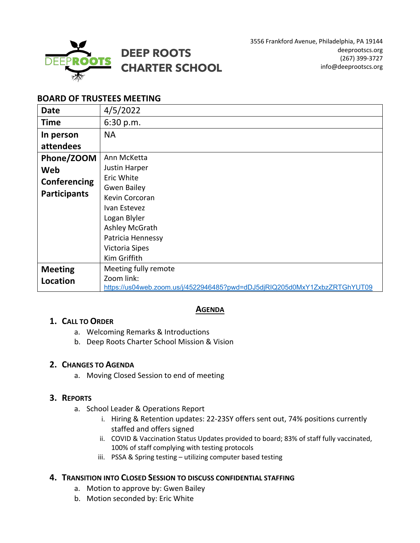

# **BOARD OF TRUSTEES MEETING**

| <b>Date</b>         | 4/5/2022                                                                  |
|---------------------|---------------------------------------------------------------------------|
| Time                | 6:30 p.m.                                                                 |
| In person           | <b>NA</b>                                                                 |
| attendees           |                                                                           |
| Phone/ZOOM          | Ann McKetta                                                               |
| Web                 | Justin Harper                                                             |
| Conferencing        | Eric White                                                                |
| <b>Participants</b> | <b>Gwen Bailey</b>                                                        |
|                     | Kevin Corcoran                                                            |
|                     | Ivan Estevez                                                              |
|                     | Logan Blyler                                                              |
|                     | Ashley McGrath                                                            |
|                     | Patricia Hennessy                                                         |
|                     | Victoria Sipes                                                            |
|                     | Kim Griffith                                                              |
| <b>Meeting</b>      | Meeting fully remote                                                      |
| Location            | Zoom link:                                                                |
|                     | https://us04web.zoom.us/j/4522946485?pwd=dDJ5djRIQ205d0MxY1ZxbzZRTGhYUT09 |

# **AGENDA**

# **1. CALL TO ORDER**

- a. Welcoming Remarks & Introductions
- b. Deep Roots Charter School Mission & Vision

# **2. CHANGES TO AGENDA**

a. Moving Closed Session to end of meeting

# **3. REPORTS**

- a. School Leader & Operations Report
	- i. Hiring & Retention updates: 22-23SY offers sent out, 74% positions currently staffed and offers signed
	- ii. COVID & Vaccination Status Updates provided to board; 83% of staff fully vaccinated, 100% of staff complying with testing protocols
	- iii. PSSA & Spring testing utilizing computer based testing

#### **4. TRANSITION INTO CLOSED SESSION TO DISCUSS CONFIDENTIAL STAFFING**

- a. Motion to approve by: Gwen Bailey
- b. Motion seconded by: Eric White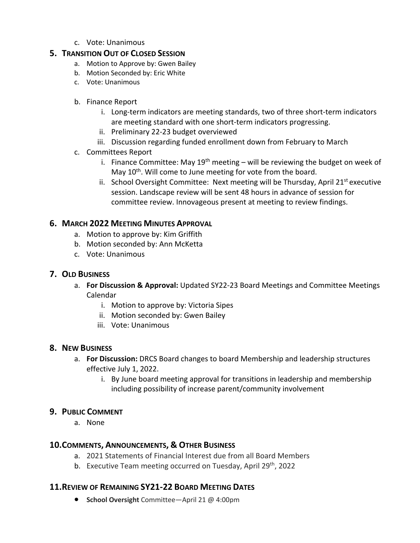c. Vote: Unanimous

# **5. TRANSITION OUT OF CLOSED SESSION**

- a. Motion to Approve by: Gwen Bailey
- b. Motion Seconded by: Eric White
- c. Vote: Unanimous

### b. Finance Report

- i. Long-term indicators are meeting standards, two of three short-term indicators are meeting standard with one short-term indicators progressing.
- ii. Preliminary 22-23 budget overviewed
- iii. Discussion regarding funded enrollment down from February to March

### c. Committees Report

- i. Finance Committee: May  $19<sup>th</sup>$  meeting will be reviewing the budget on week of May 10<sup>th</sup>. Will come to June meeting for vote from the board.
- ii. School Oversight Committee: Next meeting will be Thursday, April  $21^{st}$  executive session. Landscape review will be sent 48 hours in advance of session for committee review. Innovageous present at meeting to review findings.

# **6. MARCH 2022 MEETING MINUTES APPROVAL**

- a. Motion to approve by: Kim Griffith
- b. Motion seconded by: Ann McKetta
- c. Vote: Unanimous

# **7. OLD BUSINESS**

- a. **For Discussion & Approval:** Updated SY22-23 Board Meetings and Committee Meetings Calendar
	- i. Motion to approve by: Victoria Sipes
	- ii. Motion seconded by: Gwen Bailey
	- iii. Vote: Unanimous

# **8. NEW BUSINESS**

- a. **For Discussion:** DRCS Board changes to board Membership and leadership structures effective July 1, 2022.
	- i. By June board meeting approval for transitions in leadership and membership including possibility of increase parent/community involvement

# **9. PUBLIC COMMENT**

a. None

# **10.COMMENTS, ANNOUNCEMENTS, & OTHER BUSINESS**

- a. 2021 Statements of Financial Interest due from all Board Members
- b. Executive Team meeting occurred on Tuesday, April 29<sup>th</sup>, 2022

# **11.REVIEW OF REMAINING SY21-22 BOARD MEETING DATES**

• **School Oversight** Committee—April 21 @ 4:00pm